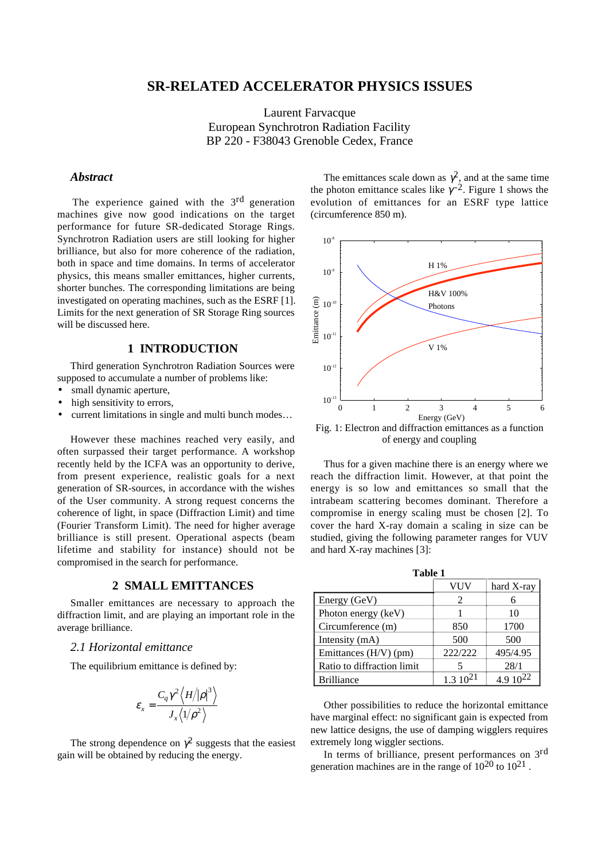# **SR-RELATED ACCELERATOR PHYSICS ISSUES**

Laurent Farvacque European Synchrotron Radiation Facility BP 220 - F38043 Grenoble Cedex, France

## *Abstract*

The experience gained with the 3<sup>rd</sup> generation machines give now good indications on the target performance for future SR-dedicated Storage Rings. Synchrotron Radiation users are still looking for higher brilliance, but also for more coherence of the radiation, both in space and time domains. In terms of accelerator physics, this means smaller emittances, higher currents, shorter bunches. The corresponding limitations are being investigated on operating machines, such as the ESRF [1]. Limits for the next generation of SR Storage Ring sources will be discussed here.

## **1 INTRODUCTION**

Third generation Synchrotron Radiation Sources were supposed to accumulate a number of problems like:

- small dynamic aperture.
- high sensitivity to errors,
- current limitations in single and multi bunch modes…

However these machines reached very easily, and often surpassed their target performance. A workshop recently held by the ICFA was an opportunity to derive, from present experience, realistic goals for a next generation of SR-sources, in accordance with the wishes of the User community. A strong request concerns the coherence of light, in space (Diffraction Limit) and time (Fourier Transform Limit). The need for higher average brilliance is still present. Operational aspects (beam lifetime and stability for instance) should not be compromised in the search for performance.

### **2 SMALL EMITTANCES**

Smaller emittances are necessary to approach the diffraction limit, and are playing an important role in the average brilliance.

## *2.1 Horizontal emittance*

The equilibrium emittance is defined by:

$$
\boldsymbol{\varepsilon}_{\scriptscriptstyle \mathcal{X}} = \frac{C_q \gamma^2 \left\langle H \middle/ |\boldsymbol{\rho}|^3 \right\rangle}{J_{\scriptscriptstyle \mathcal{X}} \left\langle 1 \middle/ \boldsymbol{\rho}^2 \right\rangle}
$$

The strong dependence on  $\gamma^2$  suggests that the easiest gain will be obtained by reducing the energy.

The emittances scale down as  $\gamma^2$ , and at the same time the photon emittance scales like  $\gamma^{-2}$ . Figure 1 shows the evolution of emittances for an ESRF type lattice (circumference 850 m).



Fig. 1: Electron and diffraction emittances as a function of energy and coupling

Thus for a given machine there is an energy where we reach the diffraction limit. However, at that point the energy is so low and emittances so small that the intrabeam scattering becomes dominant. Therefore a compromise in energy scaling must be chosen [2]. To cover the hard X-ray domain a scaling in size can be studied, giving the following parameter ranges for VUV and hard X-ray machines [3]:

**Table 1**

|                            | VUV          | hard X-ray |
|----------------------------|--------------|------------|
| Energy (GeV)               | 2            |            |
| Photon energy (keV)        |              | 10         |
| Circumference (m)          | 850          | 1700       |
| Intensity (mA)             | 500          | 500        |
| Emittances (H/V) (pm)      | 222/222      | 495/4.95   |
| Ratio to diffraction limit |              | 28/1       |
| <b>Brilliance</b>          | $1.310^{21}$ |            |

Other possibilities to reduce the horizontal emittance have marginal effect: no significant gain is expected from new lattice designs, the use of damping wigglers requires extremely long wiggler sections.

In terms of brilliance, present performances on 3rd generation machines are in the range of  $10^{20}$  to  $10^{21}$ .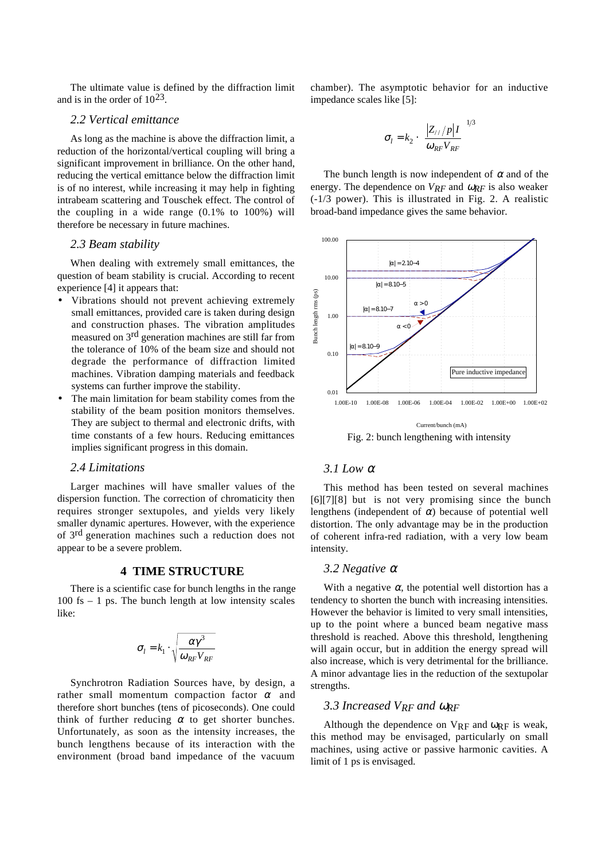The ultimate value is defined by the diffraction limit and is in the order of  $10^{23}$ .

## *2.2 Vertical emittance*

As long as the machine is above the diffraction limit, a reduction of the horizontal/vertical coupling will bring a significant improvement in brilliance. On the other hand, reducing the vertical emittance below the diffraction limit is of no interest, while increasing it may help in fighting intrabeam scattering and Touschek effect. The control of the coupling in a wide range (0.1% to 100%) will therefore be necessary in future machines.

## *2.3 Beam stability*

When dealing with extremely small emittances, the question of beam stability is crucial. According to recent experience [4] it appears that:

- Vibrations should not prevent achieving extremely small emittances, provided care is taken during design and construction phases. The vibration amplitudes measured on 3rd generation machines are still far from the tolerance of 10% of the beam size and should not degrade the performance of diffraction limited machines. Vibration damping materials and feedback systems can further improve the stability.
- The main limitation for beam stability comes from the stability of the beam position monitors themselves. They are subject to thermal and electronic drifts, with time constants of a few hours. Reducing emittances implies significant progress in this domain.

#### *2.4 Limitations*

Larger machines will have smaller values of the dispersion function. The correction of chromaticity then requires stronger sextupoles, and yields very likely smaller dynamic apertures. However, with the experience of 3rd generation machines such a reduction does not appear to be a severe problem.

## **4 TIME STRUCTURE**

There is a scientific case for bunch lengths in the range  $100$  fs  $-1$  ps. The bunch length at low intensity scales like:

$$
\sigma_l = k_1 \cdot \sqrt{\frac{\alpha \gamma^3}{\omega_{RF} V_{RF}}}
$$

Synchrotron Radiation Sources have, by design, a rather small momentum compaction factor  $\alpha$  and therefore short bunches (tens of picoseconds). One could think of further reducing  $\alpha$  to get shorter bunches. Unfortunately, as soon as the intensity increases, the bunch lengthens because of its interaction with the environment (broad band impedance of the vacuum

chamber). The asymptotic behavior for an inductive impedance scales like [5]:

$$
\sigma_l = k_2 \cdot \left(\frac{|Z_{//}/p|I}{\omega_{RF}V_{RF}}\right)^{1/3}
$$

The bunch length is now independent of  $\alpha$  and of the energy. The dependence on *VRF* and <sup>ω</sup>*RF* is also weaker (-1/3 power). This is illustrated in Fig. 2. A realistic broad-band impedance gives the same behavior.



Fig. 2: bunch lengthening with intensity

## *3.1 Low* <sup>α</sup>

This method has been tested on several machines [6][7][8] but is not very promising since the bunch lengthens (independent of  $\alpha$ ) because of potential well distortion. The only advantage may be in the production of coherent infra-red radiation, with a very low beam intensity.

#### *3.2 Negative* <sup>α</sup>

With a negative  $\alpha$ , the potential well distortion has a tendency to shorten the bunch with increasing intensities. However the behavior is limited to very small intensities, up to the point where a bunced beam negative mass threshold is reached. Above this threshold, lengthening will again occur, but in addition the energy spread will also increase, which is very detrimental for the brilliance. A minor advantage lies in the reduction of the sextupolar strengths.

### *3.3 Increased VRF and* <sup>ω</sup>*RF*

Although the dependence on  $V_{RF}$  and  $\omega_{RF}$  is weak, this method may be envisaged, particularly on small machines, using active or passive harmonic cavities. A limit of 1 ps is envisaged.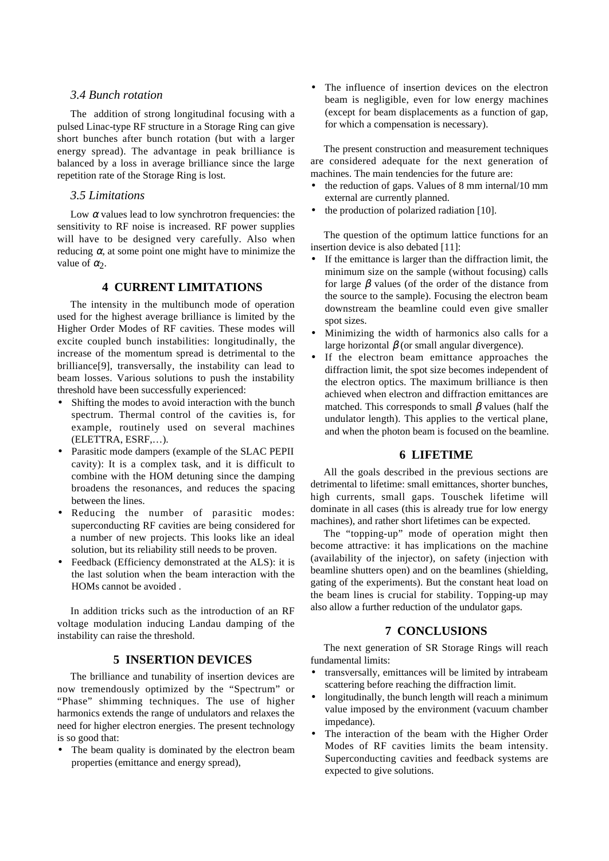## *3.4 Bunch rotation*

The addition of strong longitudinal focusing with a pulsed Linac-type RF structure in a Storage Ring can give short bunches after bunch rotation (but with a larger energy spread). The advantage in peak brilliance is balanced by a loss in average brilliance since the large repetition rate of the Storage Ring is lost.

## *3.5 Limitations*

Low  $\alpha$  values lead to low synchrotron frequencies: the sensitivity to RF noise is increased. RF power supplies will have to be designed very carefully. Also when reducing  $\alpha$ , at some point one might have to minimize the value of  $\alpha_2$ .

## **4 CURRENT LIMITATIONS**

The intensity in the multibunch mode of operation used for the highest average brilliance is limited by the Higher Order Modes of RF cavities. These modes will excite coupled bunch instabilities: longitudinally, the increase of the momentum spread is detrimental to the brilliance[9], transversally, the instability can lead to beam losses. Various solutions to push the instability threshold have been successfully experienced:

- Shifting the modes to avoid interaction with the bunch spectrum. Thermal control of the cavities is, for example, routinely used on several machines (ELETTRA, ESRF,…).
- Parasitic mode dampers (example of the SLAC PEPII cavity): It is a complex task, and it is difficult to combine with the HOM detuning since the damping broadens the resonances, and reduces the spacing between the lines.
- Reducing the number of parasitic modes: superconducting RF cavities are being considered for a number of new projects. This looks like an ideal solution, but its reliability still needs to be proven.
- Feedback (Efficiency demonstrated at the ALS): it is the last solution when the beam interaction with the HOMs cannot be avoided .

In addition tricks such as the introduction of an RF voltage modulation inducing Landau damping of the instability can raise the threshold.

#### **5 INSERTION DEVICES**

The brilliance and tunability of insertion devices are now tremendously optimized by the "Spectrum" or "Phase" shimming techniques. The use of higher harmonics extends the range of undulators and relaxes the need for higher electron energies. The present technology is so good that:

The beam quality is dominated by the electron beam properties (emittance and energy spread),

• The influence of insertion devices on the electron beam is negligible, even for low energy machines (except for beam displacements as a function of gap, for which a compensation is necessary).

The present construction and measurement techniques are considered adequate for the next generation of machines. The main tendencies for the future are:

- the reduction of gaps. Values of 8 mm internal/10 mm external are currently planned.
- the production of polarized radiation [10].

The question of the optimum lattice functions for an insertion device is also debated [11]:

- If the emittance is larger than the diffraction limit, the minimum size on the sample (without focusing) calls for large  $\beta$  values (of the order of the distance from the source to the sample). Focusing the electron beam downstream the beamline could even give smaller spot sizes.
- Minimizing the width of harmonics also calls for a large horizontal  $\beta$  (or small angular divergence).
- If the electron beam emittance approaches the diffraction limit, the spot size becomes independent of the electron optics. The maximum brilliance is then achieved when electron and diffraction emittances are matched. This corresponds to small  $\beta$  values (half the undulator length). This applies to the vertical plane, and when the photon beam is focused on the beamline.

## **6 LIFETIME**

All the goals described in the previous sections are detrimental to lifetime: small emittances, shorter bunches, high currents, small gaps. Touschek lifetime will dominate in all cases (this is already true for low energy machines), and rather short lifetimes can be expected.

The "topping-up" mode of operation might then become attractive: it has implications on the machine (availability of the injector), on safety (injection with beamline shutters open) and on the beamlines (shielding, gating of the experiments). But the constant heat load on the beam lines is crucial for stability. Topping-up may also allow a further reduction of the undulator gaps.

### **7 CONCLUSIONS**

The next generation of SR Storage Rings will reach fundamental limits:

- transversally, emittances will be limited by intrabeam scattering before reaching the diffraction limit.
- longitudinally, the bunch length will reach a minimum value imposed by the environment (vacuum chamber impedance).
- The interaction of the beam with the Higher Order Modes of RF cavities limits the beam intensity. Superconducting cavities and feedback systems are expected to give solutions.